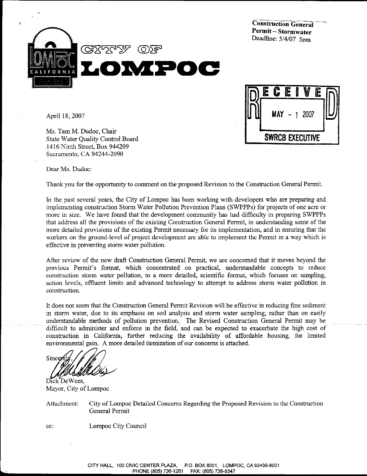**Construction General** Permit-Stormwater Deadline: 5/4/07 5pm





April 18, 2007

Ms. Tam M. Dudoc, Chair State Water Quality Control Board 1416 Ninth Street, Box 944209 Sacramento, CA 94244-2090

Dear Ms. Dudoc:

Thank you for the opportunity to comment on the proposed Revision to the Construction General Permit.

In the past several years, the City of Lompoc has been working with developers who are preparing and implementing construction Storm Water Pollution Prevention Plans (SWPPPs) for projects of one acre or more in size. We have found that the development community has had difficulty in preparing SWPPPs that address all the provisions of the existing Construction General Permit, in understanding some of the more detailed provisions of the existing Permit necessary for its implementation, and in ensuring that the workers on the ground-level of project development are able to implement the Permit in a way which is effective in preventing storm water pollution.

After review of the new draft Construction General Permit, we are concerned that it moves beyond the previous Permit's format, which concentrated on practical, understandable concepts to reduce construction storm water pollution, to a more detailed, scientific format, which focuses on sampling, action levels, effluent limits and advanced technology to attempt to address storm water pollution in construction.

It does not seem that the Construction General Permit Revision will be effective in reducing fine sediment in storm water, due to its emphasis on soil analysis and storm water sampling, rather than on easily understandable methods of pollution prevention. The Revised Construction General Permit may be difficult to administer and enforce in the field, and can be expected to exacerbate the high cost of construction in California, further reducing the availability of affordable housing, for limited environmental gain. A more detailed itemization of our concerns is attached.

Sincer

Dick De Wees, Mayor, City of Lompoc

cc:

Attachment: City of Lompoc Detailed Concerns Regarding the Proposed Revision to the Construction General Permit

Lompoc City Council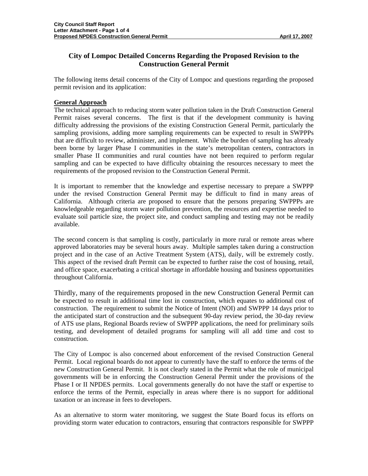# **City of Lompoc Detailed Concerns Regarding the Proposed Revision to the Construction General Permit**

The following items detail concerns of the City of Lompoc and questions regarding the proposed permit revision and its application:

# **General Approach**

The technical approach to reducing storm water pollution taken in the Draft Construction General Permit raises several concerns. The first is that if the development community is having difficulty addressing the provisions of the existing Construction General Permit, particularly the sampling provisions, adding more sampling requirements can be expected to result in SWPPPs that are difficult to review, administer, and implement. While the burden of sampling has already been borne by larger Phase I communities in the state's metropolitan centers, contractors in smaller Phase II communities and rural counties have not been required to perform regular sampling and can be expected to have difficulty obtaining the resources necessary to meet the requirements of the proposed revision to the Construction General Permit.

It is important to remember that the knowledge and expertise necessary to prepare a SWPPP under the revised Construction General Permit may be difficult to find in many areas of California. Although criteria are proposed to ensure that the persons preparing SWPPPs are knowledgeable regarding storm water pollution prevention, the resources and expertise needed to evaluate soil particle size, the project site, and conduct sampling and testing may not be readily available.

The second concern is that sampling is costly, particularly in more rural or remote areas where approved laboratories may be several hours away. Multiple samples taken during a construction project and in the case of an Active Treatment System (ATS), daily, will be extremely costly. This aspect of the revised draft Permit can be expected to further raise the cost of housing, retail, and office space, exacerbating a critical shortage in affordable housing and business opportunities throughout California.

Thirdly, many of the requirements proposed in the new Construction General Permit can be expected to result in additional time lost in construction, which equates to additional cost of construction. The requirement to submit the Notice of Intent (NOI) and SWPPP 14 days prior to the anticipated start of construction and the subsequent 90-day review period, the 30-day review of ATS use plans, Regional Boards review of SWPPP applications, the need for preliminary soils testing, and development of detailed programs for sampling will all add time and cost to construction.

The City of Lompoc is also concerned about enforcement of the revised Construction General Permit. Local regional boards do not appear to currently have the staff to enforce the terms of the new Construction General Permit. It is not clearly stated in the Permit what the role of municipal governments will be in enforcing the Construction General Permit under the provisions of the Phase I or II NPDES permits. Local governments generally do not have the staff or expertise to enforce the terms of the Permit, especially in areas where there is no support for additional taxation or an increase in fees to developers.

As an alternative to storm water monitoring, we suggest the State Board focus its efforts on providing storm water education to contractors, ensuring that contractors responsible for SWPPP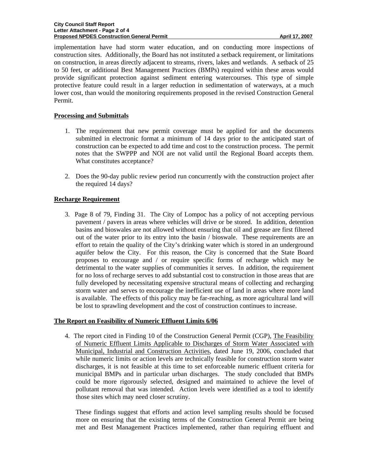implementation have had storm water education, and on conducting more inspections of construction sites. Additionally, the Board has not instituted a setback requirement, or limitations on construction, in areas directly adjacent to streams, rivers, lakes and wetlands. A setback of 25 to 50 feet, or additional Best Management Practices (BMPs) required within these areas would provide significant protection against sediment entering watercourses. This type of simple protective feature could result in a larger reduction in sedimentation of waterways, at a much lower cost, than would the monitoring requirements proposed in the revised Construction General Permit.

# **Processing and Submittals**

- 1. The requirement that new permit coverage must be applied for and the documents submitted in electronic format a minimum of 14 days prior to the anticipated start of construction can be expected to add time and cost to the construction process. The permit notes that the SWPPP and NOI are not valid until the Regional Board accepts them. What constitutes acceptance?
- 2. Does the 90-day public review period run concurrently with the construction project after the required 14 days?

# **Recharge Requirement**

3. Page 8 of 79, Finding 31. The City of Lompoc has a policy of not accepting pervious pavement / pavers in areas where vehicles will drive or be stored. In addition, detention basins and bioswales are not allowed without ensuring that oil and grease are first filtered out of the water prior to its entry into the basin / bioswale. These requirements are an effort to retain the quality of the City's drinking water which is stored in an underground aquifer below the City. For this reason, the City is concerned that the State Board proposes to encourage and / or require specific forms of recharge which may be detrimental to the water supplies of communities it serves. In addition, the requirement for no loss of recharge serves to add substantial cost to construction in those areas that are fully developed by necessitating expensive structural means of collecting and recharging storm water and serves to encourage the inefficient use of land in areas where more land is available. The effects of this policy may be far-reaching, as more agricultural land will be lost to sprawling development and the cost of construction continues to increase.

## **The Report on Feasibility of Numeric Effluent Limits 6/06**

4. The report cited in Finding 10 of the Construction General Permit (CGP), The Feasibility of Numeric Effluent Limits Applicable to Discharges of Storm Water Associated with Municipal, Industrial and Construction Activities, dated June 19, 2006, concluded that while numeric limits or action levels are technically feasible for construction storm water discharges, it is not feasible at this time to set enforceable numeric effluent criteria for municipal BMPs and in particular urban discharges. The study concluded that BMPs could be more rigorously selected, designed and maintained to achieve the level of pollutant removal that was intended. Action levels were identified as a tool to identify those sites which may need closer scrutiny.

These findings suggest that efforts and action level sampling results should be focused more on ensuring that the existing terms of the Construction General Permit are being met and Best Management Practices implemented, rather than requiring effluent and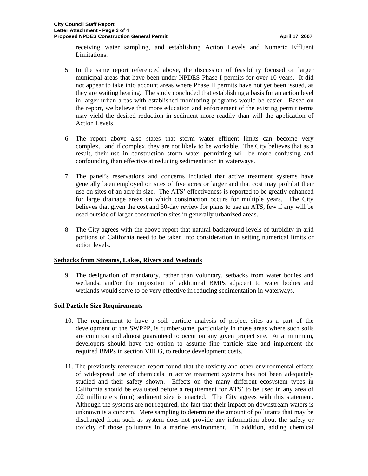receiving water sampling, and establishing Action Levels and Numeric Effluent Limitations.

- 5. In the same report referenced above, the discussion of feasibility focused on larger municipal areas that have been under NPDES Phase I permits for over 10 years. It did not appear to take into account areas where Phase II permits have not yet been issued, as they are waiting hearing. The study concluded that establishing a basis for an action level in larger urban areas with established monitoring programs would be easier. Based on the report, we believe that more education and enforcement of the existing permit terms may yield the desired reduction in sediment more readily than will the application of Action Levels.
- 6. The report above also states that storm water effluent limits can become very complex…and if complex, they are not likely to be workable. The City believes that as a result, their use in construction storm water permitting will be more confusing and confounding than effective at reducing sedimentation in waterways.
- 7. The panel's reservations and concerns included that active treatment systems have generally been employed on sites of five acres or larger and that cost may prohibit their use on sites of an acre in size. The ATS' effectiveness is reported to be greatly enhanced for large drainage areas on which construction occurs for multiple years. The City believes that given the cost and 30-day review for plans to use an ATS, few if any will be used outside of larger construction sites in generally urbanized areas.
- 8. The City agrees with the above report that natural background levels of turbidity in arid portions of California need to be taken into consideration in setting numerical limits or action levels.

## **Setbacks from Streams, Lakes, Rivers and Wetlands**

9. The designation of mandatory, rather than voluntary, setbacks from water bodies and wetlands, and/or the imposition of additional BMPs adjacent to water bodies and wetlands would serve to be very effective in reducing sedimentation in waterways.

## **Soil Particle Size Requirements**

- 10. The requirement to have a soil particle analysis of project sites as a part of the development of the SWPPP, is cumbersome, particularly in those areas where such soils are common and almost guaranteed to occur on any given project site. At a minimum, developers should have the option to assume fine particle size and implement the required BMPs in section VIII G, to reduce development costs.
- 11. The previously referenced report found that the toxicity and other environmental effects of widespread use of chemicals in active treatment systems has not been adequately studied and their safety shown. Effects on the many different ecosystem types in California should be evaluated before a requirement for ATS' to be used in any area of .02 millimeters (mm) sediment size is enacted. The City agrees with this statement. Although the systems are not required, the fact that their impact on downstream waters is unknown is a concern. Mere sampling to determine the amount of pollutants that may be discharged from such as system does not provide any information about the safety or toxicity of those pollutants in a marine environment. In addition, adding chemical